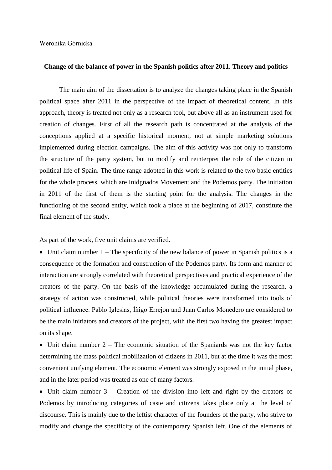## **Change of the balance of power in the Spanish politics after 2011. Theory and politics**

The main aim of the dissertation is to analyze the changes taking place in the Spanish political space after 2011 in the perspective of the impact of theoretical content. In this approach, theory is treated not only as a research tool, but above all as an instrument used for creation of changes. First of all the research path is concentrated at the analysis of the conceptions applied at a specific historical moment, not at simple marketing solutions implemented during election campaigns. The aim of this activity was not only to transform the structure of the party system, but to modify and reinterpret the role of the citizen in political life of Spain. The time range adopted in this work is related to the two basic entities for the whole process, which are Inidgnados Movement and the Podemos party. The initiation in 2011 of the first of them is the starting point for the analysis. The changes in the functioning of the second entity, which took a place at the beginning of 2017, constitute the final element of the study.

As part of the work, five unit claims are verified.

• Unit claim number 1 – The specificity of the new balance of power in Spanish politics is a consequence of the formation and construction of the Podemos party. Its form and manner of interaction are strongly correlated with theoretical perspectives and practical experience of the creators of the party. On the basis of the knowledge accumulated during the research, a strategy of action was constructed, while political theories were transformed into tools of political influence. Pablo Iglesias, Íñigo Errejon and Juan Carlos Monedero are considered to be the main initiators and creators of the project, with the first two having the greatest impact on its shape.

• Unit claim number  $2 -$  The economic situation of the Spaniards was not the key factor determining the mass political mobilization of citizens in 2011, but at the time it was the most convenient unifying element. The economic element was strongly exposed in the initial phase, and in the later period was treated as one of many factors.

• Unit claim number  $3$  – Creation of the division into left and right by the creators of Podemos by introducing categories of caste and citizens takes place only at the level of discourse. This is mainly due to the leftist character of the founders of the party, who strive to modify and change the specificity of the contemporary Spanish left. One of the elements of